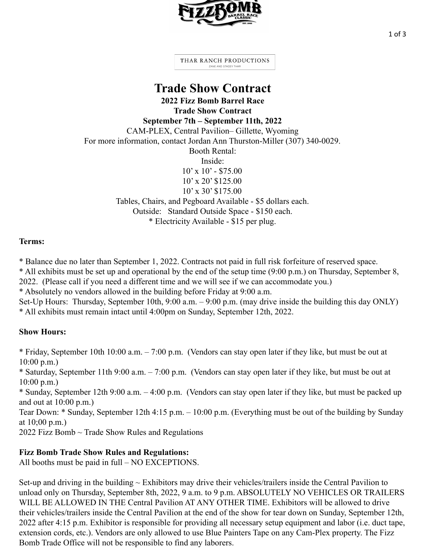

1 of 3

THAR RANCH PRODUCTIONS ZANE AND STACEY THAR

## **Trade Show Contract**

**2022 Fizz Bomb Barrel Race Trade Show Contract September 7th – September 11th, 2022** CAM-PLEX, Central Pavilion– Gillette, Wyoming For more information, contact Jordan Ann Thurston-Miller (307) 340-0029. Booth Rental: Inside:  $10'$  x  $10'$  - \$75.00  $10'$  x 20' \$125.00 10' x 30' \$175.00 Tables, Chairs, and Pegboard Available - \$5 dollars each. Outside: Standard Outside Space - \$150 each. \* Electricity Available - \$15 per plug.

## **Terms:**

\* Balance due no later than September 1, 2022. Contracts not paid in full risk forfeiture of reserved space.

\* All exhibits must be set up and operational by the end of the setup time (9:00 p.m.) on Thursday, September 8,

2022. (Please call if you need a different time and we will see if we can accommodate you.)

\* Absolutely no vendors allowed in the building before Friday at 9:00 a.m.

Set-Up Hours: Thursday, September 10th, 9:00 a.m. – 9:00 p.m. (may drive inside the building this day ONLY) \* All exhibits must remain intact until 4:00pm on Sunday, September 12th, 2022.

## **Show Hours:**

\* Friday, September 10th 10:00 a.m. – 7:00 p.m. (Vendors can stay open later if they like, but must be out at 10:00 p.m.)

\* Saturday, September 11th 9:00 a.m. – 7:00 p.m. (Vendors can stay open later if they like, but must be out at 10:00 p.m.)

\* Sunday, September 12th 9:00 a.m. – 4:00 p.m. (Vendors can stay open later if they like, but must be packed up and out at 10:00 p.m.)

Tear Down: \* Sunday, September 12th 4:15 p.m. – 10:00 p.m. (Everything must be out of the building by Sunday at 10;00 p.m.)

2022 Fizz Bomb ~ Trade Show Rules and Regulations

## **Fizz Bomb Trade Show Rules and Regulations:**

All booths must be paid in full – NO EXCEPTIONS.

Set-up and driving in the building  $\sim$  Exhibitors may drive their vehicles/trailers inside the Central Pavilion to unload only on Thursday, September 8th, 2022, 9 a.m. to 9 p.m. ABSOLUTELY NO VEHICLES OR TRAILERS WILL BE ALLOWED IN THE Central Pavilion AT ANY OTHER TIME. Exhibitors will be allowed to drive their vehicles/trailers inside the Central Pavilion at the end of the show for tear down on Sunday, September 12th, 2022 after 4:15 p.m. Exhibitor is responsible for providing all necessary setup equipment and labor (i.e. duct tape, extension cords, etc.). Vendors are only allowed to use Blue Painters Tape on any Cam-Plex property. The Fizz Bomb Trade Office will not be responsible to find any laborers.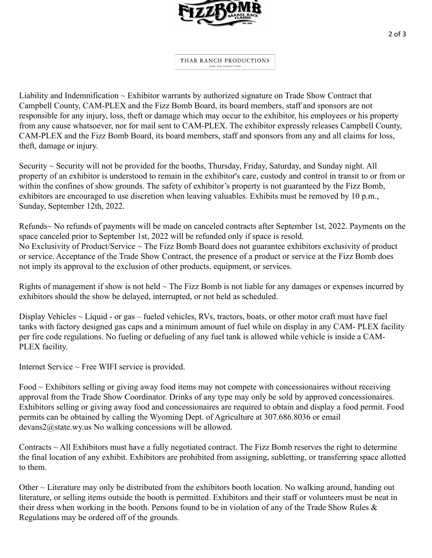

THAR RANCH PRODUCTIONS ZANE AND STACEY THAR

Liability and Indemnification ~ Exhibitor warrants by authorized signature on Trade Show Contract that Campbell County, CAM-PLEX and the Fizz Bomb Board, its board members, staff and sponsors are not responsible for any injury, loss, theft or damage which may occur to the exhibitor, his employees or his property from any cause whatsoever, nor for mail sent to CAM-PLEX. The exhibitor expressly releases Campbell County, CAM-PLEX and the Fizz Bomb Board, its board members, staff and sponsors from any and all claims for loss, theft, damage or injury.

Security ~ Security will not be provided for the booths, Thursday, Friday, Saturday, and Sunday night. All property of an exhibitor is understood to remain in the exhibitor's care, custody and control in transit to or from or within the confines of show grounds. The safety of exhibitor's property is not guaranteed by the Fizz Bomb, exhibitors are encouraged to use discretion when leaving valuables. Exhibits must be removed by 10 p.m., Sunday, September 12th, 2022.

Refunds~ No refunds of payments will be made on canceled contracts after September 1st, 2022. Payments on the space canceled prior to September 1st, 2022 will be refunded only if space is resold. No Exclusivity of Product/Service ~ The Fizz Bomb Board does not guarantee exhibitors exclusivity of product or service. Acceptance of the Trade Show Contract, the presence of a product or service at the Fizz Bomb does not imply its approval to the exclusion of other products, equipment, or services.

Rights of management if show is not held  $\sim$  The Fizz Bomb is not liable for any damages or expenses incurred by exhibitors should the show be delayed, interrupted, or not held as scheduled.

Display Vehicles  $\sim$  Liquid - or gas – fueled vehicles, RVs, tractors, boats, or other motor craft must have fuel tanks with factory designed gas caps and a minimum amount of fuel while on display in any CAM- PLEX facility per fire code regulations. No fueling or defueling of any fuel tank is allowed while vehicle is inside a CAM-PLEX facility.

Internet Service ~ Free WIFI service is provided.

Food ~ Exhibitors selling or giving away food items may not compete with concessionaires without receiving approval from the Trade Show Coordinator. Drinks of any type may only be sold by approved concessionaires. Exhibitors selling or giving away food and concessionaires are required to obtain and display a food permit. Food permits can be obtained by calling the Wyoming Dept. of Agriculture at 307.686.8036 or email devans2@state.wy.us No walking concessions will be allowed.

Contracts ~ All Exhibitors must have a fully negotiated contract. The Fizz Bomb reserves the right to determine the final location of any exhibit. Exhibitors are prohibited from assigning, subletting, or transferring space allotted to them.

Other ~ Literature may only be distributed from the exhibitors booth location. No walking around, handing out literature, or selling items outside the booth is permitted. Exhibitors and their staff or volunteers must be neat in their dress when working in the booth. Persons found to be in violation of any of the Trade Show Rules & Regulations may be ordered off of the grounds.